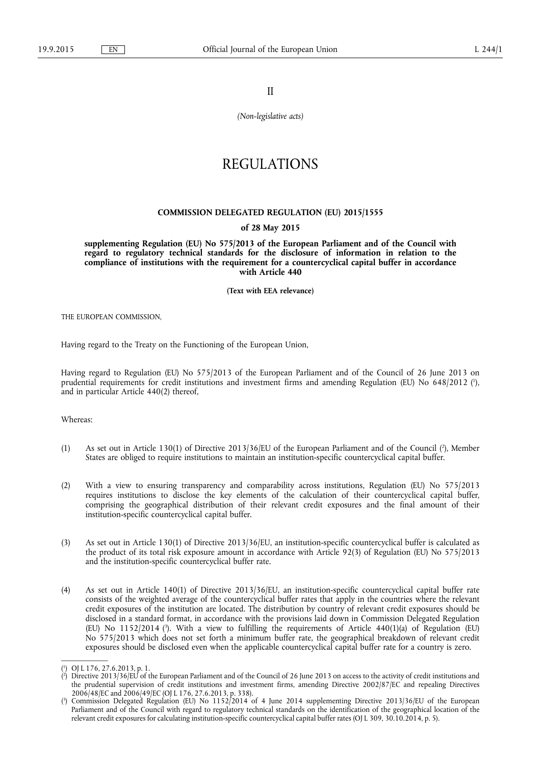II

*(Non-legislative acts)* 

# REGULATIONS

### **COMMISSION DELEGATED REGULATION (EU) 2015/1555**

### **of 28 May 2015**

**supplementing Regulation (EU) No 575/2013 of the European Parliament and of the Council with regard to regulatory technical standards for the disclosure of information in relation to the compliance of institutions with the requirement for a countercyclical capital buffer in accordance with Article 440** 

**(Text with EEA relevance)** 

THE EUROPEAN COMMISSION,

Having regard to the Treaty on the Functioning of the European Union,

Having regard to Regulation (EU) No 575/2013 of the European Parliament and of the Council of 26 June 2013 on prudential requirements for credit institutions and investment firms and amending Regulation (EU) No 648/2012 (<sup>1</sup>), and in particular Article 440(2) thereof,

Whereas:

- (1) As set out in Article 130(1) of Directive 2013/36/EU of the European Parliament and of the Council ( 2 ), Member States are obliged to require institutions to maintain an institution-specific countercyclical capital buffer.
- (2) With a view to ensuring transparency and comparability across institutions, Regulation (EU) No 575/2013 requires institutions to disclose the key elements of the calculation of their countercyclical capital buffer, comprising the geographical distribution of their relevant credit exposures and the final amount of their institution-specific countercyclical capital buffer.
- (3) As set out in Article 130(1) of Directive 2013/36/EU, an institution-specific countercyclical buffer is calculated as the product of its total risk exposure amount in accordance with Article 92(3) of Regulation (EU) No 575/2013 and the institution-specific countercyclical buffer rate.
- (4) As set out in Article 140(1) of Directive 2013/36/EU, an institution-specific countercyclical capital buffer rate consists of the weighted average of the countercyclical buffer rates that apply in the countries where the relevant credit exposures of the institution are located. The distribution by country of relevant credit exposures should be disclosed in a standard format, in accordance with the provisions laid down in Commission Delegated Regulation (EU) No 1152/2014 ( 3 ). With a view to fulfilling the requirements of Article 440(1)(a) of Regulation (EU) No 575/2013 which does not set forth a minimum buffer rate, the geographical breakdown of relevant credit exposures should be disclosed even when the applicable countercyclical capital buffer rate for a country is zero.

<sup>(</sup> 1 ) OJ L 176, 27.6.2013, p. 1.

<sup>(</sup> 2 ) Directive 2013/36/EU of the European Parliament and of the Council of 26 June 2013 on access to the activity of credit institutions and the prudential supervision of credit institutions and investment firms, amending Directive 2002/87/EC and repealing Directives 2006/48/EC and 2006/49/EC (OJ L 176, 27.6.2013, p. 338).

<sup>(</sup> 3 ) Commission Delegated Regulation (EU) No 1152/2014 of 4 June 2014 supplementing Directive 2013/36/EU of the European Parliament and of the Council with regard to regulatory technical standards on the identification of the geographical location of the relevant credit exposures for calculating institution-specific countercyclical capital buffer rates (OJ L 309, 30.10.2014, p. 5).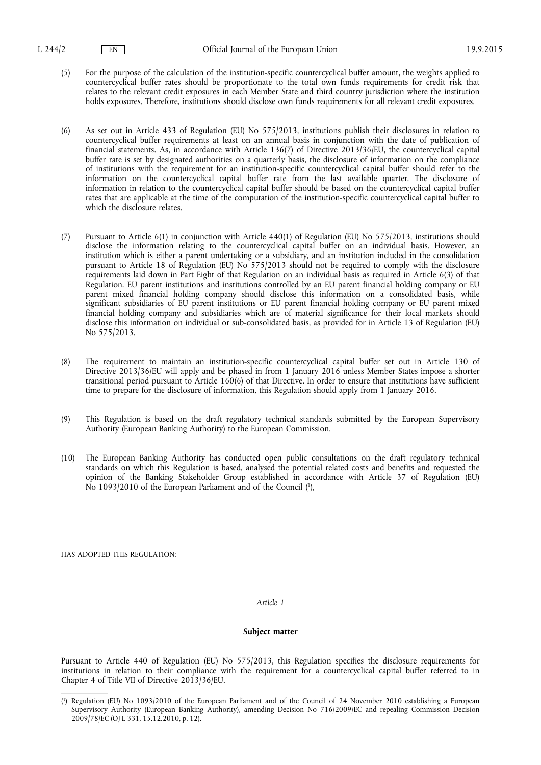(5) For the purpose of the calculation of the institution-specific countercyclical buffer amount, the weights applied to countercyclical buffer rates should be proportionate to the total own funds requirements for credit risk that relates to the relevant credit exposures in each Member State and third country jurisdiction where the institution holds exposures. Therefore, institutions should disclose own funds requirements for all relevant credit exposures.

(6) As set out in Article 433 of Regulation (EU) No 575/2013, institutions publish their disclosures in relation to countercyclical buffer requirements at least on an annual basis in conjunction with the date of publication of financial statements. As, in accordance with Article 136(7) of Directive 2013/36/EU, the countercyclical capital buffer rate is set by designated authorities on a quarterly basis, the disclosure of information on the compliance of institutions with the requirement for an institution-specific countercyclical capital buffer should refer to the information on the countercyclical capital buffer rate from the last available quarter. The disclosure of information in relation to the countercyclical capital buffer should be based on the countercyclical capital buffer rates that are applicable at the time of the computation of the institution-specific countercyclical capital buffer to which the disclosure relates.

- (7) Pursuant to Article 6(1) in conjunction with Article 440(1) of Regulation (EU) No 575/2013, institutions should disclose the information relating to the countercyclical capital buffer on an individual basis. However, an institution which is either a parent undertaking or a subsidiary, and an institution included in the consolidation pursuant to Article 18 of Regulation (EU) No 575/2013 should not be required to comply with the disclosure requirements laid down in Part Eight of that Regulation on an individual basis as required in Article 6(3) of that Regulation. EU parent institutions and institutions controlled by an EU parent financial holding company or EU parent mixed financial holding company should disclose this information on a consolidated basis, while significant subsidiaries of EU parent institutions or EU parent financial holding company or EU parent mixed financial holding company and subsidiaries which are of material significance for their local markets should disclose this information on individual or sub-consolidated basis, as provided for in Article 13 of Regulation (EU) No 575/2013.
- (8) The requirement to maintain an institution-specific countercyclical capital buffer set out in Article 130 of Directive 2013/36/EU will apply and be phased in from 1 January 2016 unless Member States impose a shorter transitional period pursuant to Article 160(6) of that Directive. In order to ensure that institutions have sufficient time to prepare for the disclosure of information, this Regulation should apply from 1 January 2016.
- (9) This Regulation is based on the draft regulatory technical standards submitted by the European Supervisory Authority (European Banking Authority) to the European Commission.
- (10) The European Banking Authority has conducted open public consultations on the draft regulatory technical standards on which this Regulation is based, analysed the potential related costs and benefits and requested the opinion of the Banking Stakeholder Group established in accordance with Article 37 of Regulation (EU) No 1093/2010 of the European Parliament and of the Council ( 1 ),

HAS ADOPTED THIS REGULATION:

### *Article 1*

### **Subject matter**

Pursuant to Article 440 of Regulation (EU) No 575/2013, this Regulation specifies the disclosure requirements for institutions in relation to their compliance with the requirement for a countercyclical capital buffer referred to in Chapter 4 of Title VII of Directive 2013/36/EU.

<sup>(</sup> 1 ) Regulation (EU) No 1093/2010 of the European Parliament and of the Council of 24 November 2010 establishing a European Supervisory Authority (European Banking Authority), amending Decision No 716/2009/EC and repealing Commission Decision 2009/78/EC (OJ L 331, 15.12.2010, p. 12).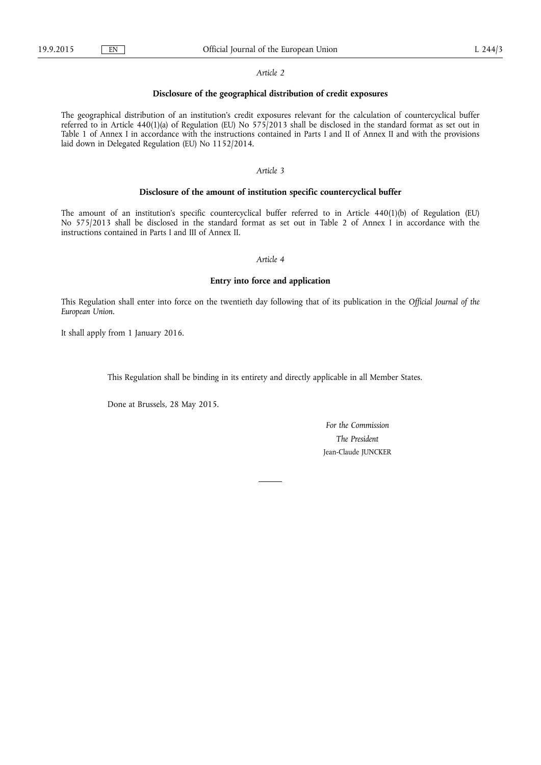#### *Article 2*

# **Disclosure of the geographical distribution of credit exposures**

The geographical distribution of an institution's credit exposures relevant for the calculation of countercyclical buffer referred to in Article 440(1)(a) of Regulation (EU) No 575/2013 shall be disclosed in the standard format as set out in Table 1 of Annex I in accordance with the instructions contained in Parts I and II of Annex II and with the provisions laid down in Delegated Regulation (EU) No 1152/2014.

### *Article 3*

### **Disclosure of the amount of institution specific countercyclical buffer**

The amount of an institution's specific countercyclical buffer referred to in Article 440(1)(b) of Regulation (EU) No 575/2013 shall be disclosed in the standard format as set out in Table 2 of Annex I in accordance with the instructions contained in Parts I and III of Annex II.

### *Article 4*

### **Entry into force and application**

This Regulation shall enter into force on the twentieth day following that of its publication in the *Official Journal of the European Union.* 

It shall apply from 1 January 2016.

This Regulation shall be binding in its entirety and directly applicable in all Member States.

Done at Brussels, 28 May 2015.

*For the Commission The President*  Jean-Claude JUNCKER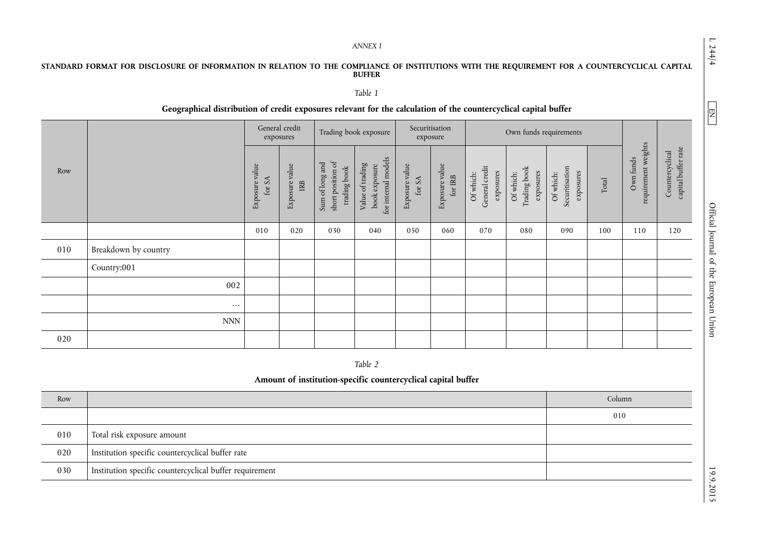#### *ANNEX I*

# **STANDARD FORMAT FOR DISCLOSURE OF INFORMATION IN RELATION TO THE COMPLIANCE OF INSTITUTIONS WITH THE REQUIREMENT FOR A COUNTERCYCLICAL CAPITAL BUFFER**

# *Table 1*

# **Geographical distribution of credit exposures relevant for the calculation of the countercyclical capital buffer**

|     |                           | General credit<br>exposures |                       | Trading book exposure                                |                                                          | Securitisation<br>exposure |                                     | Own funds requirements                   |                                        |                                          |                                 |                                  |                                        |
|-----|---------------------------|-----------------------------|-----------------------|------------------------------------------------------|----------------------------------------------------------|----------------------------|-------------------------------------|------------------------------------------|----------------------------------------|------------------------------------------|---------------------------------|----------------------------------|----------------------------------------|
| Row |                           | Exposure value<br>for SA    | Exposure value<br>IRB | Sum of long and<br>short position of<br>trading book | for internal models<br>Value of trading<br>book exposure | Exposure value<br>for $SA$ | Exposure value<br>for ${\rm I\!RB}$ | General credit<br>exposures<br>Of which: | Trading book<br>exposures<br>Of which: | Securitisation<br>exposures<br>Of which: | $\operatorname{\mathsf{Total}}$ | requirement weights<br>Own funds | capital buffer rate<br>Countercyclical |
|     |                           | 010                         | 020                   | 030                                                  | 040                                                      | 050                        | 060                                 | 070                                      | 080                                    | 090                                      | 100                             | 110                              | 120                                    |
| 010 | Breakdown by country      |                             |                       |                                                      |                                                          |                            |                                     |                                          |                                        |                                          |                                 |                                  |                                        |
|     | Country:001               |                             |                       |                                                      |                                                          |                            |                                     |                                          |                                        |                                          |                                 |                                  |                                        |
|     | 002                       |                             |                       |                                                      |                                                          |                            |                                     |                                          |                                        |                                          |                                 |                                  |                                        |
|     | $\cdots$                  |                             |                       |                                                      |                                                          |                            |                                     |                                          |                                        |                                          |                                 |                                  |                                        |
|     | $\ensuremath{\text{NNN}}$ |                             |                       |                                                      |                                                          |                            |                                     |                                          |                                        |                                          |                                 |                                  |                                        |
| 020 |                           |                             |                       |                                                      |                                                          |                            |                                     |                                          |                                        |                                          |                                 |                                  |                                        |

*Table 2* 

# **Amount of institution-specific countercyclical capital buffer**

| Row |                                                         | Column |
|-----|---------------------------------------------------------|--------|
|     |                                                         | 010    |
| 010 | Total risk exposure amount                              |        |
| 020 | Institution specific countercyclical buffer rate        |        |
| 030 | Institution specific countercyclical buffer requirement |        |

 $L$  244/4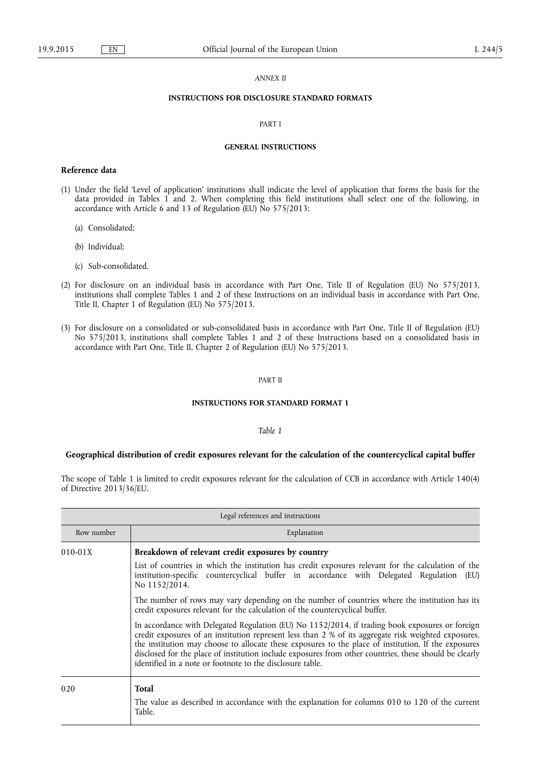### *ANNEX II*

# **INSTRUCTIONS FOR DISCLOSURE STANDARD FORMATS**

#### PART I

#### **GENERAL INSTRUCTIONS**

### **Reference data**

- (1) Under the field 'Level of application' institutions shall indicate the level of application that forms the basis for the data provided in Tables 1 and 2. When completing this field institutions shall select one of the following, in accordance with Article 6 and 13 of Regulation (EU) No 575/2013:
	- (a) Consolidated;
	- (b) Individual;
	- (c) Sub-consolidated.
- (2) For disclosure on an individual basis in accordance with Part One, Title II of Regulation (EU) No 575/2013, institutions shall complete Tables 1 and 2 of these Instructions on an individual basis in accordance with Part One, Title II, Chapter 1 of Regulation (EU) No 575/2013.
- (3) For disclosure on a consolidated or sub-consolidated basis in accordance with Part One, Title II of Regulation (EU) No 575/2013, institutions shall complete Tables 1 and 2 of these Instructions based on a consolidated basis in accordance with Part One, Title II, Chapter 2 of Regulation (EU) No 575/2013.

#### PART II

### **INSTRUCTIONS FOR STANDARD FORMAT 1**

### *Table 1*

## **Geographical distribution of credit exposures relevant for the calculation of the countercyclical capital buffer**

The scope of Table 1 is limited to credit exposures relevant for the calculation of CCB in accordance with Article 140(4) of Directive 2013/36/EU.

| Legal references and instructions |                                                                                                                                                                                                                                                                                                                                                                                                                                                                                                                                                                                                                                                                                                                                                                               |  |  |  |
|-----------------------------------|-------------------------------------------------------------------------------------------------------------------------------------------------------------------------------------------------------------------------------------------------------------------------------------------------------------------------------------------------------------------------------------------------------------------------------------------------------------------------------------------------------------------------------------------------------------------------------------------------------------------------------------------------------------------------------------------------------------------------------------------------------------------------------|--|--|--|
| Row number                        | Explanation                                                                                                                                                                                                                                                                                                                                                                                                                                                                                                                                                                                                                                                                                                                                                                   |  |  |  |
| $010 - 01X$                       | Breakdown of relevant credit exposures by country<br>List of countries in which the institution has credit exposures relevant for the calculation of the<br>institution-specific countercyclical buffer in accordance with Delegated Regulation<br>(EU)<br>No 1152/2014.<br>The number of rows may vary depending on the number of countries where the institution has its<br>credit exposures relevant for the calculation of the countercyclical buffer.<br>In accordance with Delegated Regulation (EU) No 1152/2014, if trading book exposures or foreign<br>credit exposures of an institution represent less than 2 % of its aggregate risk weighted exposures,<br>the institution may choose to allocate these exposures to the place of institution. If the exposures |  |  |  |
| 020                               | disclosed for the place of institution include exposures from other countries, these should be clearly<br>identified in a note or footnote to the disclosure table.<br><b>Total</b><br>The value as described in accordance with the explanation for columns 010 to 120 of the current<br>Table.                                                                                                                                                                                                                                                                                                                                                                                                                                                                              |  |  |  |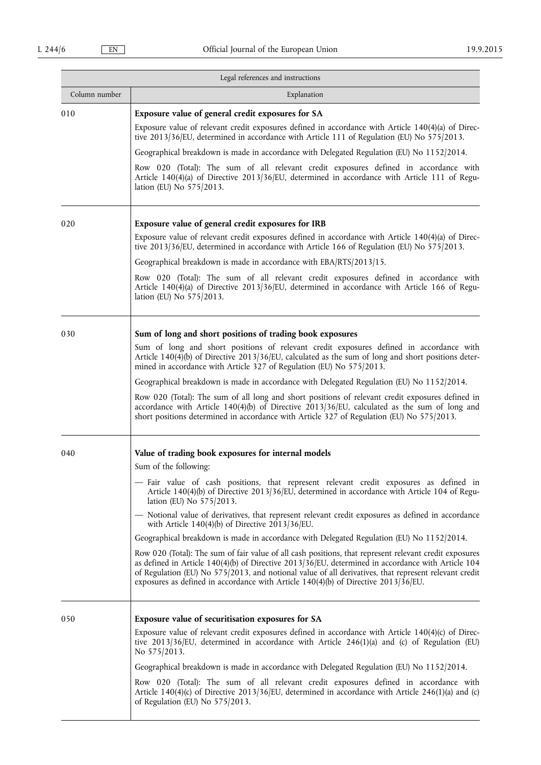|               | Legal references and instructions                                                                                                                                                                                                                                                                                                                                                                                                                                                                                                                                                                                                                                                                                                                                                                                                                                                                                                                                                      |
|---------------|----------------------------------------------------------------------------------------------------------------------------------------------------------------------------------------------------------------------------------------------------------------------------------------------------------------------------------------------------------------------------------------------------------------------------------------------------------------------------------------------------------------------------------------------------------------------------------------------------------------------------------------------------------------------------------------------------------------------------------------------------------------------------------------------------------------------------------------------------------------------------------------------------------------------------------------------------------------------------------------|
| Column number | Explanation                                                                                                                                                                                                                                                                                                                                                                                                                                                                                                                                                                                                                                                                                                                                                                                                                                                                                                                                                                            |
| 010           | Exposure value of general credit exposures for SA<br>Exposure value of relevant credit exposures defined in accordance with Article $140(4)(a)$ of Direc-<br>tive 2013/36/EU, determined in accordance with Article 111 of Regulation (EU) No 575/2013.<br>Geographical breakdown is made in accordance with Delegated Regulation (EU) No 1152/2014.<br>Row 020 (Total): The sum of all relevant credit exposures defined in accordance with<br>Article 140(4)(a) of Directive 2013/36/EU, determined in accordance with Article 111 of Regu-<br>lation (EU) No 575/2013.                                                                                                                                                                                                                                                                                                                                                                                                              |
| 020           | Exposure value of general credit exposures for IRB<br>Exposure value of relevant credit exposures defined in accordance with Article $140(4)(a)$ of Direc-<br>tive 2013/36/EU, determined in accordance with Article 166 of Regulation (EU) No 575/2013.<br>Geographical breakdown is made in accordance with EBA/RTS/2013/15.<br>Row 020 (Total): The sum of all relevant credit exposures defined in accordance with<br>Article 140(4)(a) of Directive 2013/36/EU, determined in accordance with Article 166 of Regu-<br>lation (EU) No 575/2013.                                                                                                                                                                                                                                                                                                                                                                                                                                    |
| 030           | Sum of long and short positions of trading book exposures<br>Sum of long and short positions of relevant credit exposures defined in accordance with<br>Article 140(4)(b) of Directive 2013/36/EU, calculated as the sum of long and short positions deter-<br>mined in accordance with Article 327 of Regulation (EU) No 575/2013.<br>Geographical breakdown is made in accordance with Delegated Regulation (EU) No 1152/2014.<br>Row 020 (Total): The sum of all long and short positions of relevant credit exposures defined in<br>accordance with Article $140(4)(b)$ of Directive $2013/36$ /EU, calculated as the sum of long and<br>short positions determined in accordance with Article 327 of Regulation (EU) No 575/2013.                                                                                                                                                                                                                                                 |
| 040           | Value of trading book exposures for internal models<br>Sum of the following:<br>- Fair value of cash positions, that represent relevant credit exposures as defined in<br>Article $140(4)(b)$ of Directive 2013/36/EU, determined in accordance with Article 104 of Regu-<br>lation (EU) No 575/2013.<br>- Notional value of derivatives, that represent relevant credit exposures as defined in accordance<br>with Article $140(4)(b)$ of Directive $2013/36/EU$ .<br>Geographical breakdown is made in accordance with Delegated Regulation (EU) No 1152/2014.<br>Row 020 (Total): The sum of fair value of all cash positions, that represent relevant credit exposures<br>as defined in Article $140(4)(b)$ of Directive $2013/36$ /EU, determined in accordance with Article 104<br>of Regulation (EU) No 575/2013, and notional value of all derivatives, that represent relevant credit<br>exposures as defined in accordance with Article $140(4)(b)$ of Directive 2013/36/EU. |
| 050           | Exposure value of securitisation exposures for SA<br>Exposure value of relevant credit exposures defined in accordance with Article $140(4)(c)$ of Direc-<br>tive 2013/36/EU, determined in accordance with Article 246(1)(a) and (c) of Regulation (EU)<br>No 575/2013.<br>Geographical breakdown is made in accordance with Delegated Regulation (EU) No 1152/2014.<br>Row 020 (Total): The sum of all relevant credit exposures defined in accordance with<br>Article 140(4)(c) of Directive 2013/36/EU, determined in accordance with Article 246(1)(a) and (c)<br>of Regulation (EU) No 575/2013.                                                                                                                                                                                                                                                                                                                                                                                 |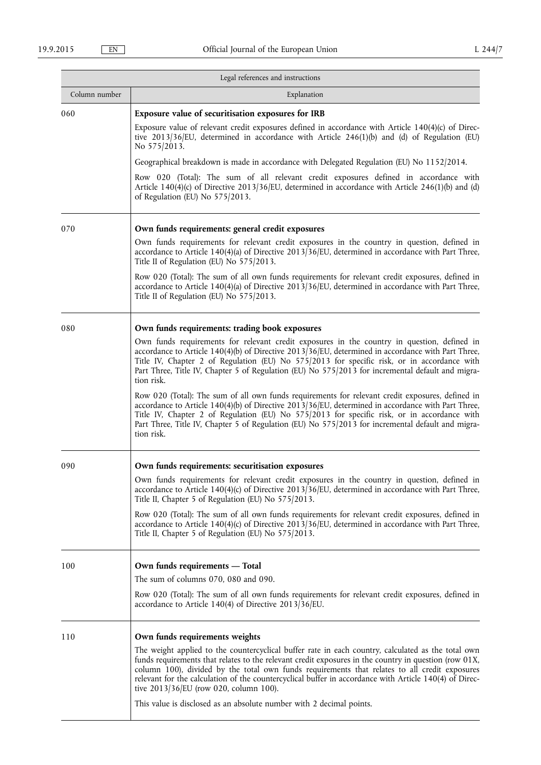|               | Legal references and instructions                                                                                                                                                                                                                                                                                                                                                                                                                                |
|---------------|------------------------------------------------------------------------------------------------------------------------------------------------------------------------------------------------------------------------------------------------------------------------------------------------------------------------------------------------------------------------------------------------------------------------------------------------------------------|
| Column number | Explanation                                                                                                                                                                                                                                                                                                                                                                                                                                                      |
| 060           | Exposure value of securitisation exposures for IRB<br>Exposure value of relevant credit exposures defined in accordance with Article $140(4)(c)$ of Direc-<br>tive 2013/36/EU, determined in accordance with Article 246(1)(b) and (d) of Regulation (EU)<br>No 575/2013.<br>Geographical breakdown is made in accordance with Delegated Regulation (EU) No 1152/2014.<br>Row 020 (Total): The sum of all relevant credit exposures defined in accordance with   |
|               | Article $140(4)(c)$ of Directive 2013/36/EU, determined in accordance with Article 246(1)(b) and (d)<br>of Regulation (EU) No 575/2013.                                                                                                                                                                                                                                                                                                                          |
| 070           | Own funds requirements: general credit exposures                                                                                                                                                                                                                                                                                                                                                                                                                 |
|               | Own funds requirements for relevant credit exposures in the country in question, defined in<br>accordance to Article 140(4)(a) of Directive 2013/36/EU, determined in accordance with Part Three,<br>Title II of Regulation (EU) No 575/2013.                                                                                                                                                                                                                    |
|               | Row 020 (Total): The sum of all own funds requirements for relevant credit exposures, defined in<br>accordance to Article $140(4)(a)$ of Directive 2013/36/EU, determined in accordance with Part Three,<br>Title II of Regulation (EU) No 575/2013.                                                                                                                                                                                                             |
| 080           | Own funds requirements: trading book exposures                                                                                                                                                                                                                                                                                                                                                                                                                   |
|               | Own funds requirements for relevant credit exposures in the country in question, defined in<br>accordance to Article $140(4)(b)$ of Directive $2013/36$ /EU, determined in accordance with Part Three,<br>Title IV, Chapter 2 of Regulation (EU) No 575/2013 for specific risk, or in accordance with<br>Part Three, Title IV, Chapter 5 of Regulation (EU) No 575/2013 for incremental default and migra-<br>tion risk.                                         |
|               | Row 020 (Total): The sum of all own funds requirements for relevant credit exposures, defined in<br>accordance to Article $140(4)(b)$ of Directive 2013/36/EU, determined in accordance with Part Three,<br>Title IV, Chapter 2 of Regulation (EU) No 575/2013 for specific risk, or in accordance with<br>Part Three, Title IV, Chapter 5 of Regulation (EU) No 575/2013 for incremental default and migra-<br>tion risk.                                       |
| 090           | Own funds requirements: securitisation exposures                                                                                                                                                                                                                                                                                                                                                                                                                 |
|               | Own funds requirements for relevant credit exposures in the country in question, defined in<br>accordance to Article 140(4)(c) of Directive 2013/36/EU, determined in accordance with Part Three,<br>Title II, Chapter 5 of Regulation (EU) No 575/2013.                                                                                                                                                                                                         |
|               | Row 020 (Total): The sum of all own funds requirements for relevant credit exposures, defined in<br>accordance to Article $140(4)(c)$ of Directive 2013/36/EU, determined in accordance with Part Three,<br>Title II, Chapter 5 of Regulation (EU) No 575/2013.                                                                                                                                                                                                  |
| 100           | Own funds requirements - Total                                                                                                                                                                                                                                                                                                                                                                                                                                   |
|               | The sum of columns $070$ , $080$ and $090$ .                                                                                                                                                                                                                                                                                                                                                                                                                     |
|               | Row 020 (Total): The sum of all own funds requirements for relevant credit exposures, defined in<br>accordance to Article 140(4) of Directive $2013/36$ /EU.                                                                                                                                                                                                                                                                                                     |
| 110           | Own funds requirements weights                                                                                                                                                                                                                                                                                                                                                                                                                                   |
|               | The weight applied to the countercyclical buffer rate in each country, calculated as the total own<br>funds requirements that relates to the relevant credit exposures in the country in question (row 01X,<br>column 100), divided by the total own funds requirements that relates to all credit exposures<br>relevant for the calculation of the countercyclical buffer in accordance with Article 140(4) of Direc-<br>tive 2013/36/EU (row 020, column 100). |
|               | This value is disclosed as an absolute number with 2 decimal points.                                                                                                                                                                                                                                                                                                                                                                                             |